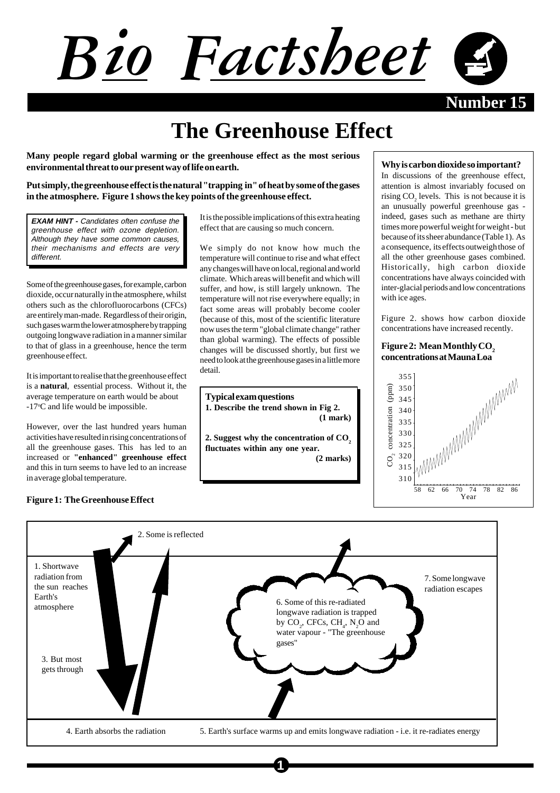# Bio Factsheet

**Number** 15

# **The Greenhouse Effect**

**Many people regard global warming or the greenhouse effect as the most serious environmental threat to our present way of life on earth.**

**Put simply, the greenhouse effect is the natural "trapping in" of heat by some of the gases in the atmosphere. Figure 1 shows the key points of the greenhouse effect.**

**EXAM HINT -** Candidates often confuse the greenhouse effect with ozone depletion. Although they have some common causes, their mechanisms and effects are very different.

Some of the greenhouse gases, for example, carbon dioxide, occur naturally in the atmosphere, whilst others such as the chlorofluorocarbons (CFCs) are entirely man-made. Regardless of their origin, such gases warm the lower atmosphere by trapping outgoing longwave radiation in a manner similar to that of glass in a greenhouse, hence the term greenhouse effect.

It is important to realise that the greenhouse effect is a **natural**, essential process. Without it, the average temperature on earth would be about -17°C and life would be impossible.

However, over the last hundred years human activities have resulted in rising concentrations of all the greenhouse gases. This has led to an increased or **"enhanced" greenhouse effect** and this in turn seems to have led to an increase in average global temperature.

# **Figure 1: The Greenhouse Effect**

It is the possible implications of this extra heating effect that are causing so much concern.

We simply do not know how much the temperature will continue to rise and what effect any changes will have on local, regional and world climate. Which areas will benefit and which will suffer, and how, is still largely unknown. The temperature will not rise everywhere equally; in fact some areas will probably become cooler (because of this, most of the scientific literature now uses the term "global climate change" rather than global warming). The effects of possible changes will be discussed shortly, but first we need to look at the greenhouse gases in a little more detail.

**Typical exam questions 1. Describe the trend shown in Fig 2. (1 mark)**

2. Suggest why the concentration of CO<sub>2</sub> **fluctuates within any one year.**

**(2 marks)**

#### **Why is carbon dioxide so important?**

In discussions of the greenhouse effect, attention is almost invariably focused on rising  $CO<sub>2</sub>$  levels. This is not because it is an unusually powerful greenhouse gas indeed, gases such as methane are thirty times more powerful weight for weight - but because of its sheer abundance (Table 1). As a consequence, its effects outweigh those of all the other greenhouse gases combined. Historically, high carbon dioxide concentrations have always coincided with inter-glacial periods and low concentrations with ice ages.

Figure 2. shows how carbon dioxide concentrations have increased recently.

# Figure 2: Mean Monthly CO<sub>2</sub> **concentrations at Mauna Loa**





**1**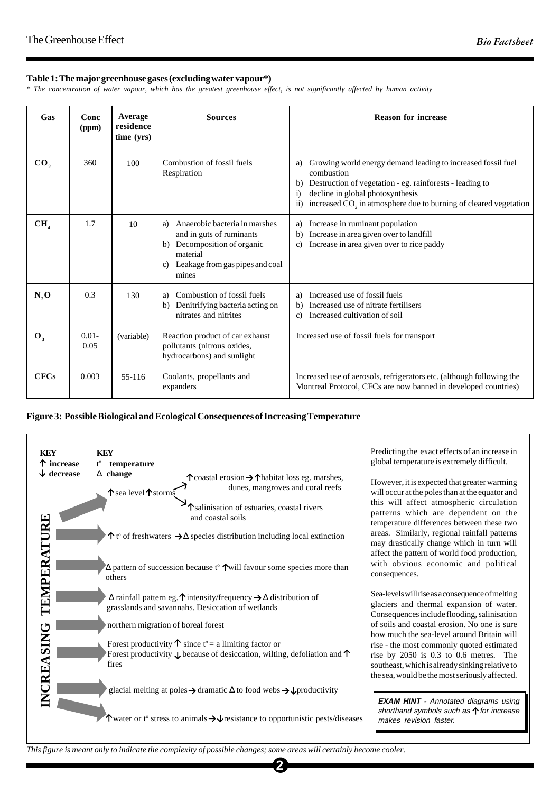# **Table 1: The major greenhouse gases (excluding water vapour\*)**

*\* The concentration of water vapour, which has the greatest greenhouse effect, is not significantly affected by human activity*

| Gas             | Conc<br>(ppm)    | Average<br>residence<br>time (yrs) | <b>Sources</b>                                                                                                                                                  | <b>Reason for increase</b>                                                                                                                                                                                                                                                                           |
|-----------------|------------------|------------------------------------|-----------------------------------------------------------------------------------------------------------------------------------------------------------------|------------------------------------------------------------------------------------------------------------------------------------------------------------------------------------------------------------------------------------------------------------------------------------------------------|
| CO,             | 360              | 100                                | Combustion of fossil fuels<br>Respiration                                                                                                                       | Growing world energy demand leading to increased fossil fuel<br>a)<br>combustion<br>Destruction of vegetation - eg. rainforests - leading to<br>b)<br>decline in global photosynthesis<br>$\ddot{1}$<br>increased CO <sub>2</sub> in atmosphere due to burning of cleared vegetation<br>$\ddot{u}$ ) |
| CH <sub>4</sub> | 1.7              | 10                                 | Anaerobic bacteria in marshes<br>a)<br>and in guts of ruminants<br>Decomposition of organic<br>b)<br>material<br>Leakage from gas pipes and coal<br>c)<br>mines | Increase in ruminant population<br>a)<br>Increase in area given over to landfill<br>b)<br>Increase in area given over to rice paddy<br>$\mathbf{c}$                                                                                                                                                  |
| N,0             | 0.3              | 130                                | Combustion of fossil fuels<br>a)<br>Denitrifying bacteria acting on<br>b)<br>nitrates and nitrites                                                              | Increased use of fossil fuels<br>a)<br>Increased use of nitrate fertilisers<br>b)<br>Increased cultivation of soil<br>$\mathbf{c}$                                                                                                                                                                   |
| $\mathbf{0}_3$  | $0.01 -$<br>0.05 | (variable)                         | Reaction product of car exhaust<br>pollutants (nitrous oxides,<br>hydrocarbons) and sunlight                                                                    | Increased use of fossil fuels for transport                                                                                                                                                                                                                                                          |
| <b>CFCs</b>     | 0.003            | 55-116                             | Coolants, propellants and<br>expanders                                                                                                                          | Increased use of aerosols, refrigerators etc. (although following the<br>Montreal Protocol, CFCs are now banned in developed countries)                                                                                                                                                              |

### **Figure 3: Possible Biological and Ecological Consequences of Increasing Temperature**



Predicting the exact effects of an increase in global temperature is extremely difficult.

However, it is expected that greater warming will occur at the poles than at the equator and this will affect atmospheric circulation patterns which are dependent on the temperature differences between these two areas. Similarly, regional rainfall patterns may drastically change which in turn will affect the pattern of world food production, with obvious economic and political consequences.

Sea-levels will rise as a consequence of melting glaciers and thermal expansion of water. Consequences include flooding, salinisation of soils and coastal erosion. No one is sure how much the sea-level around Britain will rise - the most commonly quoted estimated rise by 2050 is 0.3 to 0.6 metres. The southeast, which is already sinking relative to the sea, would be the most seriously affected.

**EXAM HINT - Annotated diagrams using** shorthand symbols such as  $\uparrow$  for increase makes revision faster.

*This figure is meant only to indicate the complexity of possible changes; some areas will certainly become cooler.*

**2**